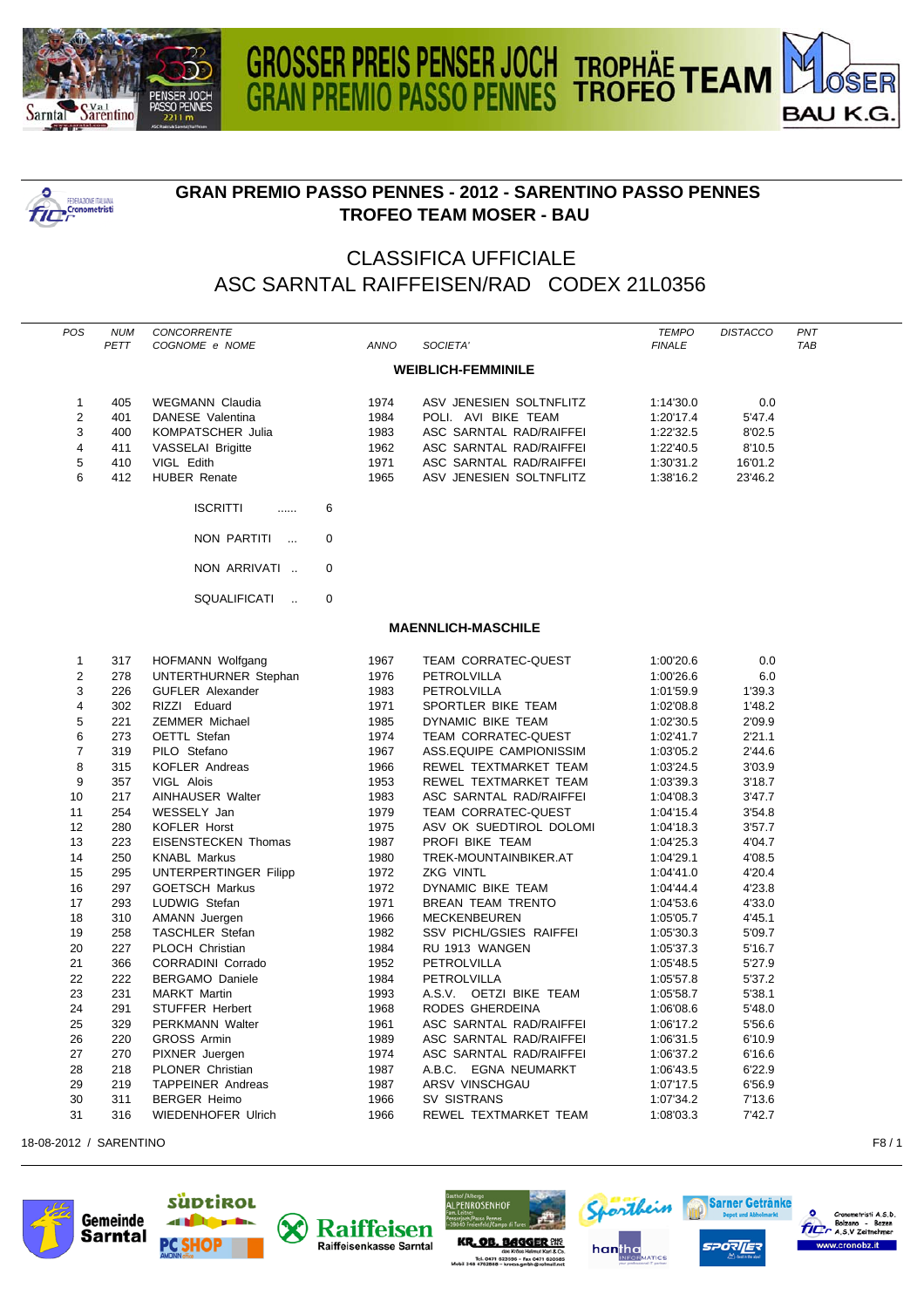

**POSTAGE IN THE CONDUCT IN THE PROPERTY OF** 



## **GRAN PREMIO PASSO PENNES - 2012 - SARENTINO PASSO PENNES TROFEO TEAM MOSER - BAU**

## CLASSIFICA UFFICIALE ASC SARNTAL RAIFFEISEN/RAD CODEX 21L0356

|                           | POS            | <b>NUM</b><br>PETT | CONCORRENTE<br>COGNOME e NOME         | <b>ANNO</b> | SOCIETA'                   | <b>TEMPO</b><br><b>FINALE</b> | <b>DISTACCO</b> | PNT<br><b>TAB</b> |  |  |  |  |
|---------------------------|----------------|--------------------|---------------------------------------|-------------|----------------------------|-------------------------------|-----------------|-------------------|--|--|--|--|
| <b>WEIBLICH-FEMMINILE</b> |                |                    |                                       |             |                            |                               |                 |                   |  |  |  |  |
|                           | $\mathbf{1}$   | 405                | <b>WEGMANN Claudia</b>                | 1974        | ASV JENESIEN SOLTNFLITZ    | 1:14'30.0                     | 0.0             |                   |  |  |  |  |
|                           | $\overline{2}$ | 401                | DANESE Valentina                      | 1984        | POLI. AVI BIKE TEAM        | 1:20'17.4                     | 5'47.4          |                   |  |  |  |  |
|                           | 3              | 400                | <b>KOMPATSCHER Julia</b>              | 1983        | ASC SARNTAL RAD/RAIFFEI    | 1:22'32.5                     | 8'02.5          |                   |  |  |  |  |
|                           | $\overline{4}$ | 411                | VASSELAI Brigitte                     | 1962        | ASC SARNTAL RAD/RAIFFEI    | 1:22'40.5                     | 8'10.5          |                   |  |  |  |  |
|                           | 5              | 410                | VIGL Edith                            | 1971        | ASC SARNTAL RAD/RAIFFEI    | 1:30'31.2                     | 16'01.2         |                   |  |  |  |  |
|                           | 6              | 412                | <b>HUBER Renate</b>                   | 1965        | ASV JENESIEN SOLTNFLITZ    | 1:38'16.2                     | 23'46.2         |                   |  |  |  |  |
|                           |                |                    | <b>ISCRITTI</b><br>6<br>.             |             |                            |                               |                 |                   |  |  |  |  |
|                           |                |                    | NON PARTITI<br>0<br>$\sim$            |             |                            |                               |                 |                   |  |  |  |  |
|                           |                |                    | NON ARRIVATI<br>$\mathbf 0$           |             |                            |                               |                 |                   |  |  |  |  |
|                           |                |                    | SQUALIFICATI<br>$\mathbf 0$<br>$\sim$ |             |                            |                               |                 |                   |  |  |  |  |
|                           |                |                    |                                       |             | <b>MAENNLICH-MASCHILE</b>  |                               |                 |                   |  |  |  |  |
|                           | $\mathbf{1}$   | 317                | HOFMANN Wolfgang                      | 1967        | <b>TEAM CORRATEC-QUEST</b> | 1:00'20.6                     | 0.0             |                   |  |  |  |  |
|                           | $\overline{2}$ | 278                | UNTERTHURNER Stephan                  | 1976        | PETROLVILLA                | 1:00'26.6                     | 6.0             |                   |  |  |  |  |
|                           | 3              | 226                | <b>GUFLER Alexander</b>               | 1983        | PETROLVILLA                | 1:01'59.9                     | 1'39.3          |                   |  |  |  |  |
|                           | $\overline{4}$ | 302                | RIZZI Eduard                          | 1971        | SPORTLER BIKE TEAM         | 1:02'08.8                     | 1'48.2          |                   |  |  |  |  |
|                           | 5              | 221                | <b>ZEMMER Michael</b>                 | 1985        | DYNAMIC BIKE TEAM          | 1:02'30.5                     | 2'09.9          |                   |  |  |  |  |
|                           | 6              | 273                | OETTL Stefan                          | 1974        | TEAM CORRATEC-QUEST        | 1:02'41.7                     | 2'21.1          |                   |  |  |  |  |
|                           | $\overline{7}$ | 319                | PILO Stefano                          | 1967        | ASS.EQUIPE CAMPIONISSIM    | 1:03'05.2                     | 2'44.6          |                   |  |  |  |  |
|                           | 8              | 315                | KOFLER Andreas                        | 1966        | REWEL TEXTMARKET TEAM      | 1:03'24.5                     | 3'03.9          |                   |  |  |  |  |
|                           | 9              | 357                | VIGL Alois                            | 1953        | REWEL TEXTMARKET TEAM      | 1:03'39.3                     | 3'18.7          |                   |  |  |  |  |
|                           | 10             | 217                | AINHAUSER Walter                      | 1983        | ASC SARNTAL RAD/RAIFFEI    | 1:04'08.3                     | 3'47.7          |                   |  |  |  |  |
|                           | 11             | 254                | WESSELY Jan                           | 1979        | <b>TEAM CORRATEC-QUEST</b> | 1:04'15.4                     | 3'54.8          |                   |  |  |  |  |
|                           | 12             | 280                | <b>KOFLER Horst</b>                   | 1975        | ASV OK SUEDTIROL DOLOMI    | 1:04'18.3                     | 3'57.7          |                   |  |  |  |  |
|                           | 13             | 223                | <b>EISENSTECKEN Thomas</b>            | 1987        | PROFI BIKE TEAM            | 1:04'25.3                     | 4'04.7          |                   |  |  |  |  |
|                           | 14             | 250                | <b>KNABL Markus</b>                   | 1980        | TREK-MOUNTAINBIKER.AT      | 1:04'29.1                     | 4'08.5          |                   |  |  |  |  |
|                           | 15             | 295                | UNTERPERTINGER Filipp                 | 1972        | ZKG VINTL                  | 1:04'41.0                     | 4'20.4          |                   |  |  |  |  |
|                           | 16             | 297                | <b>GOETSCH Markus</b>                 | 1972        | DYNAMIC BIKE TEAM          | 1:04'44.4                     | 4'23.8          |                   |  |  |  |  |
|                           | 17             | 293                | LUDWIG Stefan                         | 1971        | <b>BREAN TEAM TRENTO</b>   | 1:04'53.6                     | 4'33.0          |                   |  |  |  |  |
|                           | 18             | 310                | <b>AMANN</b> Juergen                  | 1966        | <b>MECKENBEUREN</b>        | 1:05'05.7                     | 4'45.1          |                   |  |  |  |  |
|                           | 19             | 258                | TASCHLER Stefan                       | 1982        | SSV PICHL/GSIES RAIFFEI    | 1:05'30.3                     | 5'09.7          |                   |  |  |  |  |
|                           | 20             | 227                | PLOCH Christian                       | 1984        | RU 1913 WANGEN             | 1:05'37.3                     | 5'16.7          |                   |  |  |  |  |
|                           | 21             | 366                | <b>CORRADINI Corrado</b>              | 1952        | PETROLVILLA                | 1:05'48.5                     | 5'27.9          |                   |  |  |  |  |
|                           | 22             | 222                | <b>BERGAMO Daniele</b>                | 1984        | PETROLVILLA                | 1:05'57.8                     | 5'37.2          |                   |  |  |  |  |
|                           | 23             | 231                | <b>MARKT Martin</b>                   | 1993        | A.S.V. OETZI BIKE TEAM     | 1:05'58.7                     | 5'38.1          |                   |  |  |  |  |
|                           | 24             | 291                | <b>STUFFER Herbert</b>                | 1968        | RODES GHERDEINA            | 1:06'08.6                     | 5'48.0          |                   |  |  |  |  |
|                           | 25             | 329                | <b>PERKMANN Walter</b>                | 1961        | ASC SARNTAL RAD/RAIFFEI    | 1:06'17.2                     | 5'56.6          |                   |  |  |  |  |
|                           | 26             | 220                | <b>GROSS Armin</b>                    | 1989        | ASC SARNTAL RAD/RAIFFEI    | 1:06'31.5                     | 6'10.9          |                   |  |  |  |  |
|                           | 27             | 270                | PIXNER Juergen                        | 1974        | ASC SARNTAL RAD/RAIFFEI    | 1:06'37.2                     | 6'16.6          |                   |  |  |  |  |
|                           | 28             | 218                | PLONER Christian                      | 1987        | A.B.C. EGNA NEUMARKT       | 1:06'43.5                     | 6'22.9          |                   |  |  |  |  |
|                           | 29             | 219                | <b>TAPPEINER Andreas</b>              | 1987        | ARSV VINSCHGAU             | 1:07'17.5                     | 6'56.9          |                   |  |  |  |  |
|                           | 30             | 311                | <b>BERGER Heimo</b>                   | 1966        | SV SISTRANS                | 1:07'34.2                     | 7'13.6          |                   |  |  |  |  |
|                           | 31             | 316                | <b>WIEDENHOFER Ulrich</b>             | 1966        | REWEL TEXTMARKET TEAM      | 1:08'03.3                     | 7'42.7          |                   |  |  |  |  |
|                           |                |                    |                                       |             |                            |                               |                 |                   |  |  |  |  |

18-08-2012 / SARENTINO F8 / 1